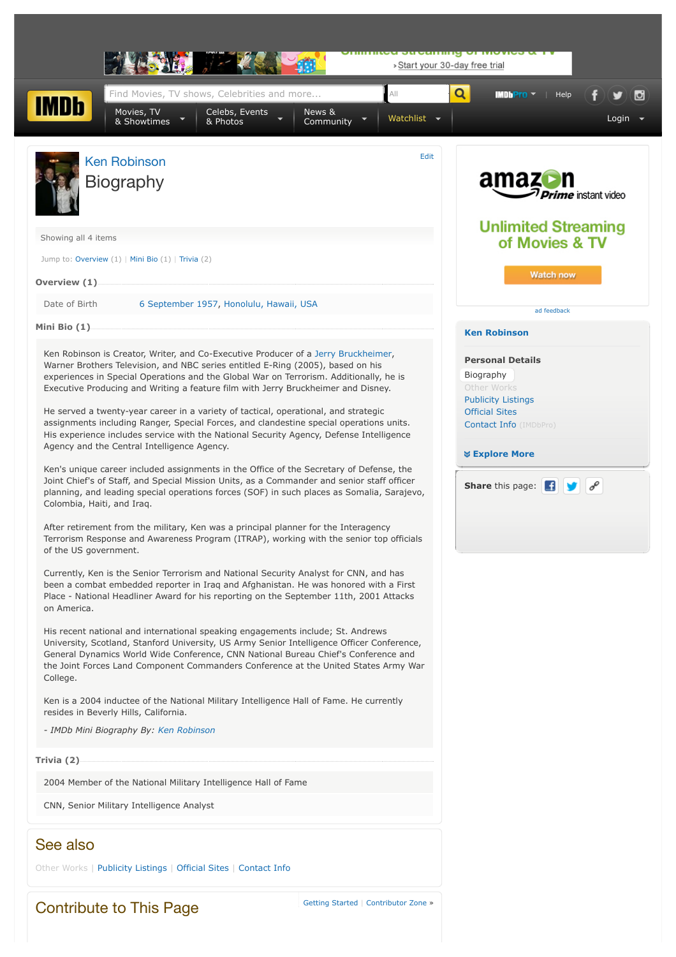